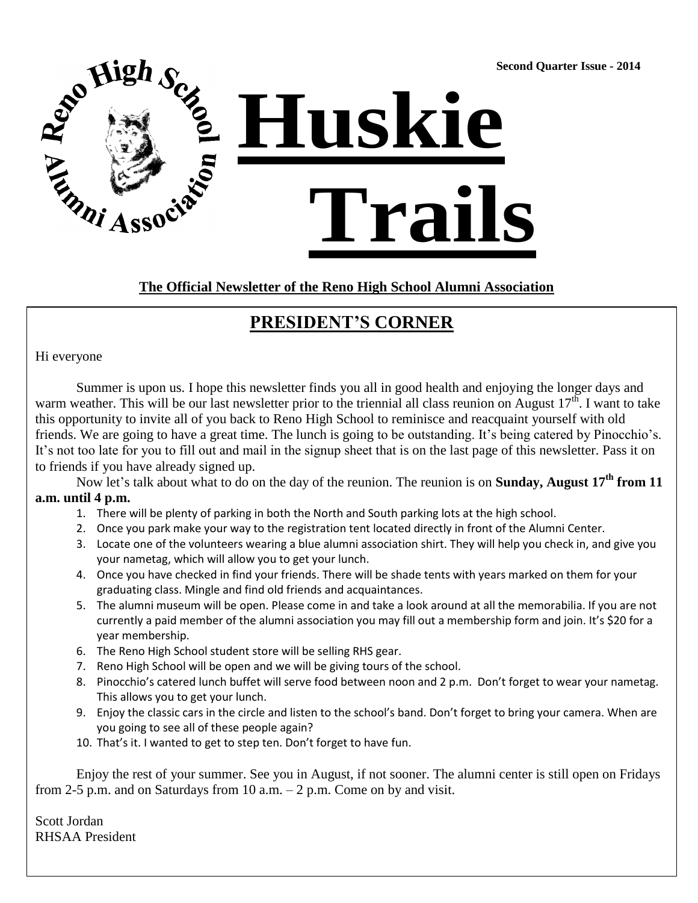**Second Quarter Issue - 2014**



**The Official Newsletter of the Reno High School Alumni Association**

## **PRESIDENT'S CORNER**

Hi everyone

Summer is upon us. I hope this newsletter finds you all in good health and enjoying the longer days and warm weather. This will be our last newsletter prior to the triennial all class reunion on August  $17^{\text{th}}$ . I want to take this opportunity to invite all of you back to Reno High School to reminisce and reacquaint yourself with old friends. We are going to have a great time. The lunch is going to be outstanding. It's being catered by Pinocchio's. It's not too late for you to fill out and mail in the signup sheet that is on the last page of this newsletter. Pass it on to friends if you have already signed up.

Now let's talk about what to do on the day of the reunion. The reunion is on **Sunday, August 17th from 11 a.m. until 4 p.m.**

- 1. There will be plenty of parking in both the North and South parking lots at the high school.
- 2. Once you park make your way to the registration tent located directly in front of the Alumni Center.
- 3. Locate one of the volunteers wearing a blue alumni association shirt. They will help you check in, and give you your nametag, which will allow you to get your lunch.
- 4. Once you have checked in find your friends. There will be shade tents with years marked on them for your graduating class. Mingle and find old friends and acquaintances.
- 5. The alumni museum will be open. Please come in and take a look around at all the memorabilia. If you are not currently a paid member of the alumni association you may fill out a membership form and join. It's \$20 for a year membership.
- 6. The Reno High School student store will be selling RHS gear.
- 7. Reno High School will be open and we will be giving tours of the school.
- 8. Pinocchio's catered lunch buffet will serve food between noon and 2 p.m. Don't forget to wear your nametag. This allows you to get your lunch.
- 9. Enjoy the classic cars in the circle and listen to the school's band. Don't forget to bring your camera. When are you going to see all of these people again?
- 10. That's it. I wanted to get to step ten. Don't forget to have fun.

Enjoy the rest of your summer. See you in August, if not sooner. The alumni center is still open on Fridays from 2-5 p.m. and on Saturdays from 10 a.m.  $-$  2 p.m. Come on by and visit.

Scott Jordan RHSAA President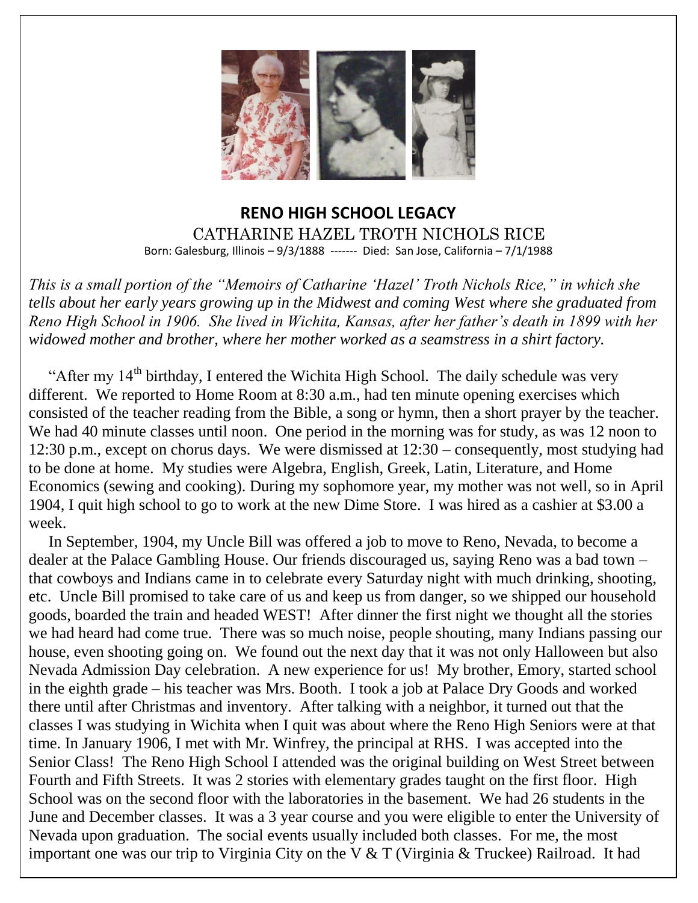

### **RENO HIGH SCHOOL LEGACY** CATHARINE HAZEL TROTH NICHOLS RICE Born: Galesburg, Illinois – 9/3/1888 ------- Died: San Jose, California – 7/1/1988

*This is a small portion of the "Memoirs of Catharine 'Hazel' Troth Nichols Rice," in which she tells about her early years growing up in the Midwest and coming West where she graduated from Reno High School in 1906. She lived in Wichita, Kansas, after her father's death in 1899 with her widowed mother and brother, where her mother worked as a seamstress in a shirt factory.*

"After my  $14<sup>th</sup>$  birthday, I entered the Wichita High School. The daily schedule was very different. We reported to Home Room at 8:30 a.m., had ten minute opening exercises which consisted of the teacher reading from the Bible, a song or hymn, then a short prayer by the teacher. We had 40 minute classes until noon. One period in the morning was for study, as was 12 noon to 12:30 p.m., except on chorus days. We were dismissed at 12:30 – consequently, most studying had to be done at home. My studies were Algebra, English, Greek, Latin, Literature, and Home Economics (sewing and cooking). During my sophomore year, my mother was not well, so in April 1904, I quit high school to go to work at the new Dime Store. I was hired as a cashier at \$3.00 a week.

 In September, 1904, my Uncle Bill was offered a job to move to Reno, Nevada, to become a dealer at the Palace Gambling House. Our friends discouraged us, saying Reno was a bad town – that cowboys and Indians came in to celebrate every Saturday night with much drinking, shooting, etc. Uncle Bill promised to take care of us and keep us from danger, so we shipped our household goods, boarded the train and headed WEST! After dinner the first night we thought all the stories we had heard had come true. There was so much noise, people shouting, many Indians passing our house, even shooting going on. We found out the next day that it was not only Halloween but also Nevada Admission Day celebration. A new experience for us! My brother, Emory, started school in the eighth grade – his teacher was Mrs. Booth. I took a job at Palace Dry Goods and worked there until after Christmas and inventory. After talking with a neighbor, it turned out that the classes I was studying in Wichita when I quit was about where the Reno High Seniors were at that time. In January 1906, I met with Mr. Winfrey, the principal at RHS. I was accepted into the Senior Class! The Reno High School I attended was the original building on West Street between Fourth and Fifth Streets. It was 2 stories with elementary grades taught on the first floor. High School was on the second floor with the laboratories in the basement. We had 26 students in the June and December classes. It was a 3 year course and you were eligible to enter the University of Nevada upon graduation. The social events usually included both classes. For me, the most important one was our trip to Virginia City on the V & T (Virginia & Truckee) Railroad. It had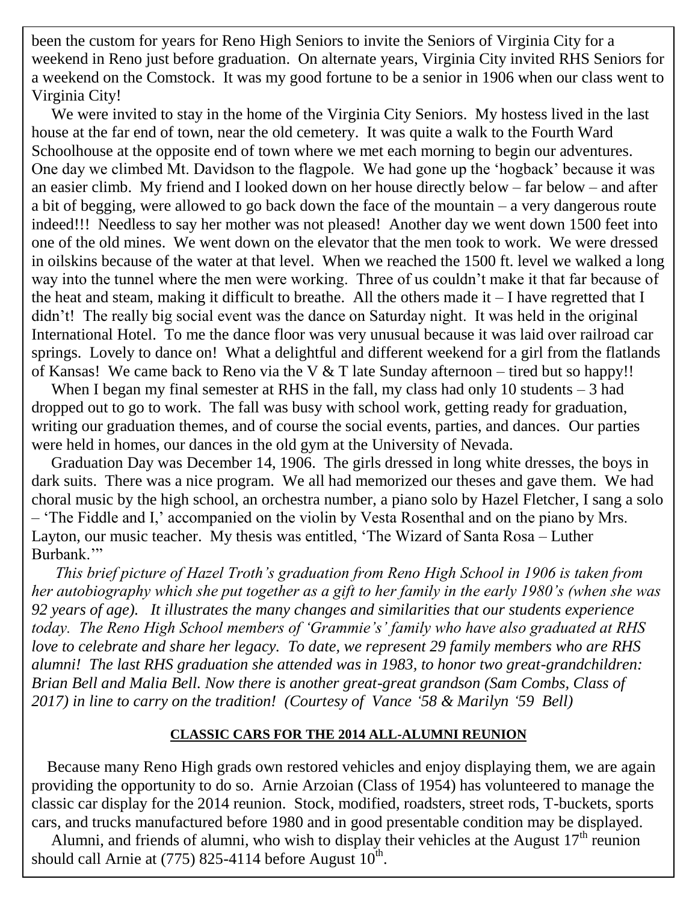been the custom for years for Reno High Seniors to invite the Seniors of Virginia City for a weekend in Reno just before graduation. On alternate years, Virginia City invited RHS Seniors for a weekend on the Comstock. It was my good fortune to be a senior in 1906 when our class went to Virginia City!

Schoolhouse at the opposite end of town where we met each morning to begin our adventures. One day we climbed Mt. Davidson to the flagpole. We had gone up the 'hogback' because it was an easier climb. My friend and I looked down on her house directly below – far below – and after a bit of begging, were allowed to go back down the face of the mountain  $-$  a very dangerous route  $\frac{11}{11}$ indeed!!! Needless to say her mother was not pleased! Another day we went down 1500 feet into one of the old mines. We went down on the elevator that the men took to work. We were dressed in oilskins because of the water at that level. When we reached the 1500 ft. level we walked a long way into the tunnel where the men were working. Three of us couldn't make it that far because of the heat and steam, making it difficult to breathe. All the others made it  $-1$  have regretted that I  $\frac{4.4 \text{ m}}{4.4 \text{ m}}$   $\frac{4.4 \text{ m}}{4.4 \text{ m}}$ .  $\frac{4.4 \text{ m}}{4.4 \text{ m}}$ .  $\frac{4.4 \text{ m}}{4.4 \text{ m}}$ .  $\frac{4.4 \text{ m}}{4.4 \text{ m}}$ .  $\frac{4.4 \text{ m}}{4.4 \text{ m}}$ .  $\frac{4.4 \text{ m}}{4.4 \text{ m}}$ .  $\frac{4.4 \text{ m}}{4.4 \text{ m}}$ .  $\frac{4.4 \text{ m}}{4.4 \text{ m}}$ .  $\frac{4.$ didn't! The really big social event was the dance on Saturday night. It was held in the original International Hotel. To me the dance floor was very unusual because it was laid over railroad car springs. Lovely to dance on! What a delightful and different weekend for a girl from the flatlands We were invited to stay in the home of the Virginia City Seniors. My hostess lived in the last house at the far end of town, near the old cemetery. It was quite a walk to the Fourth Ward of Kansas! We came back to Reno via the V & T late Sunday afternoon – tired but so happy!!

When I began my final semester at RHS in the fall, my class had only 10 students – 3 had dropped out to go to work. The fall was busy with school work, getting ready for graduation, writing our graduation themes, and of course the social events, parties, and dances. Our parties were held in homes, our dances in the old gym at the University of Nevada.

 Graduation Day was December 14, 1906. The girls dressed in long white dresses, the boys in dark suits. There was a nice program. We all had memorized our theses and gave them. We had choral music by the high school, an orchestra number, a piano solo by Hazel Fletcher, I sang a solo – 'The Fiddle and I,' accompanied on the violin by Vesta Rosenthal and on the piano by Mrs. Layton, our music teacher. My thesis was entitled, 'The Wizard of Santa Rosa – Luther Burbank.'"

 *This brief picture of Hazel Troth's graduation from Reno High School in 1906 is taken from her autobiography which she put together as a gift to her family in the early 1980's (when she was 92 years of age). It illustrates the many changes and similarities that our students experience today. The Reno High School members of 'Grammie's' family who have also graduated at RHS love to celebrate and share her legacy. To date, we represent 29 family members who are RHS alumni! The last RHS graduation she attended was in 1983, to honor two great-grandchildren: Brian Bell and Malia Bell. Now there is another great-great grandson (Sam Combs, Class of 2017) in line to carry on the tradition! (Courtesy of Vance '58 & Marilyn '59 Bell)*

#### **CLASSIC CARS FOR THE 2014 ALL-ALUMNI REUNION**

 Because many Reno High grads own restored vehicles and enjoy displaying them, we are again providing the opportunity to do so. Arnie Arzoian (Class of 1954) has volunteered to manage the classic car display for the 2014 reunion. Stock, modified, roadsters, street rods, T-buckets, sports cars, and trucks manufactured before 1980 and in good presentable condition may be displayed.

Alumni, and friends of alumni, who wish to display their vehicles at the August  $17<sup>th</sup>$  reunion should call Arnie at (775) 825-4114 before August  $10^{th}$ .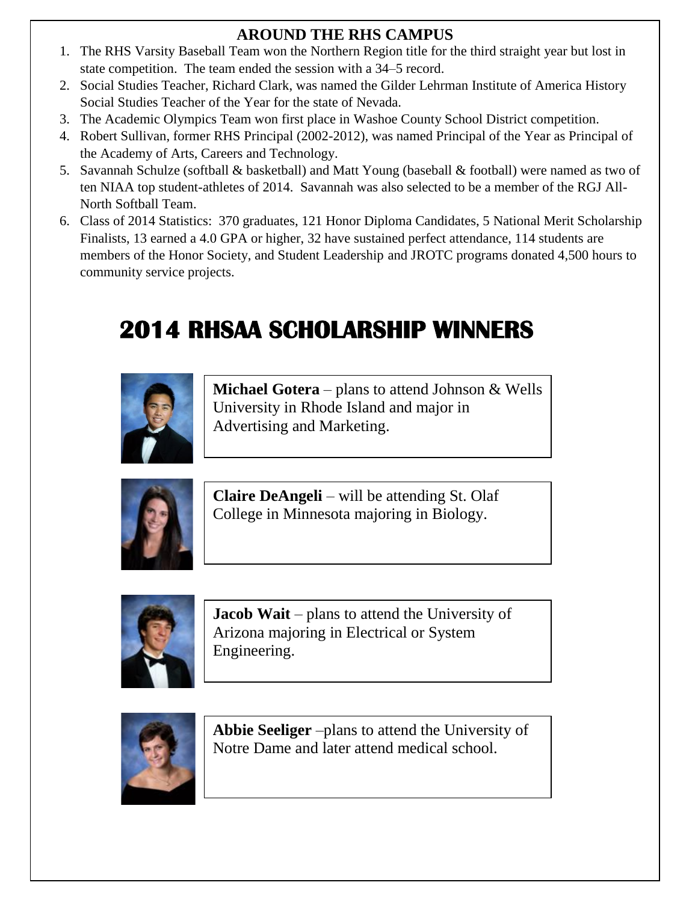### **AROUND THE RHS CAMPUS**

- **2012** The KHS Varsity Baseball Team won the Northern Region title for the time<br>state competition. The team ended the session with a 34–5 record. 1. The RHS Varsity Baseball Team won the Northern Region title for the third straight year but lost in
- 2. Social Studies Teacher, Richard Clark, was named the Gilder Lehrman Institute of America History Social Studies Teacher of the Year for the state of Nevada.
- 3. The Academic Olympics Team won first place in Washoe County School District competition.
- 4. Robert Sullivan, former RHS Principal (2002-2012), was named Principal of the Year as Principal of the Academy of Arts, Careers and Technology.
- 5. Savannah Schulze (softball & basketball) and Matt Young (baseball & football) were named as two of ten NIAA top student-athletes of 2014. Savannah was also selected to be a member of the RGJ All-North Softball Team.
- 6. Class of 2014 Statistics: 370 graduates, 121 Honor Diploma Candidates, 5 National Merit Scholarship Finalists, 13 earned a 4.0 GPA or higher, 32 have sustained perfect attendance, 114 students are members of the Honor Society, and Student Leadership and JROTC programs donated 4,500 hours to community service projects.

# **2014 RHSAA SCHOLARSHIP WINNERS**



**Michael Gotera** – plans to attend Johnson & Wells University in Rhode Island and major in Advertising and Marketing.



**Claire DeAngeli** – will be attending St. Olaf College in Minnesota majoring in Biology.



**Jacob Wait** – plans to attend the University of Arizona majoring in Electrical or System Engineering.



**Abbie Seeliger** –plans to attend the University of Notre Dame and later attend medical school.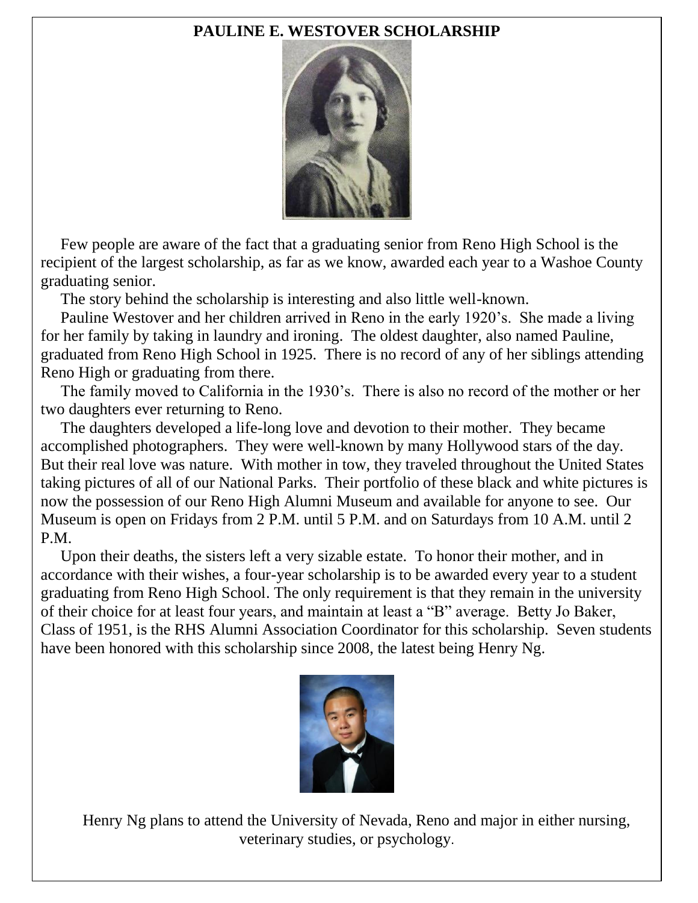### **PAULINE E. WESTOVER SCHOLARSHIP**



 Few people are aware of the fact that a graduating senior from Reno High School is the recipient of the largest scholarship, as far as we know, awarded each year to a Washoe County graduating senior.

The story behind the scholarship is interesting and also little well-known.

 Pauline Westover and her children arrived in Reno in the early 1920's. She made a living for her family by taking in laundry and ironing. The oldest daughter, also named Pauline, graduated from Reno High School in 1925. There is no record of any of her siblings attending Reno High or graduating from there.

 The family moved to California in the 1930's. There is also no record of the mother or her two daughters ever returning to Reno.

 The daughters developed a life-long love and devotion to their mother. They became accomplished photographers. They were well-known by many Hollywood stars of the day. But their real love was nature. With mother in tow, they traveled throughout the United States taking pictures of all of our National Parks. Their portfolio of these black and white pictures is now the possession of our Reno High Alumni Museum and available for anyone to see. Our Museum is open on Fridays from 2 P.M. until 5 P.M. and on Saturdays from 10 A.M. until 2 P.M.

 Upon their deaths, the sisters left a very sizable estate. To honor their mother, and in accordance with their wishes, a four-year scholarship is to be awarded every year to a student graduating from Reno High School. The only requirement is that they remain in the university of their choice for at least four years, and maintain at least a "B" average. Betty Jo Baker, Class of 1951, is the RHS Alumni Association Coordinator for this scholarship. Seven students have been honored with this scholarship since 2008, the latest being Henry Ng.



 Henry Ng plans to attend the University of Nevada, Reno and major in either nursing, veterinary studies, or psychology.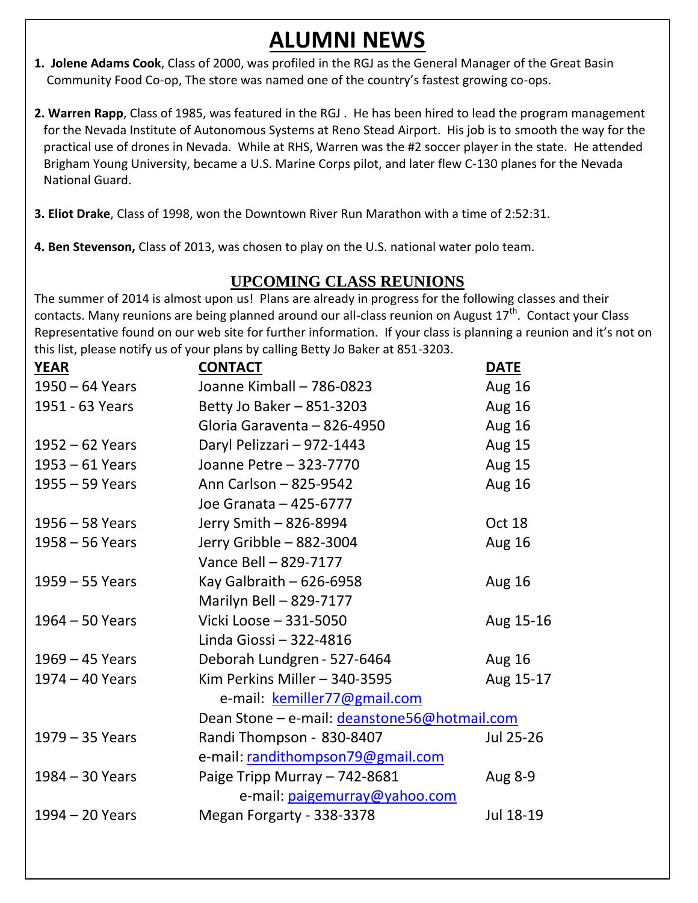# **ALUMNI NEWS**

- **1. Jolene Adams Cook**, Class of 2000, was profiled in the RGJ as the General Manager of the Great Basin Community Food Co-op, The store was named one of the country's fastest growing co-ops.
- **2. Warren Rapp**, Class of 1985, was featured in the RGJ . He has been hired to lead the program management for the Nevada Institute of Autonomous Systems at Reno Stead Airport. His job is to smooth the way for the practical use of drones in Nevada. While at RHS, Warren was the #2 soccer player in the state. He attended Brigham Young University, became a U.S. Marine Corps pilot, and later flew C-130 planes for the Nevada National Guard.
- **3. Eliot Drake**, Class of 1998, won the Downtown River Run Marathon with a time of 2:52:31.
- **4. Ben Stevenson,** Class of 2013, was chosen to play on the U.S. national water polo team.

### **UPCOMING CLASS REUNIONS**

The summer of 2014 is almost upon us! Plans are already in progress for the following classes and their contacts. Many reunions are being planned around our all-class reunion on August 17<sup>th</sup>. Contact your Class Representative found on our web site for further information. If your class is planning a reunion and it's not on this list, please notify us of your plans by calling Betty Jo Baker at 851-3203.

| <b>YEAR</b>       | <b>CONTACT</b>                               | <b>DATE</b>   |
|-------------------|----------------------------------------------|---------------|
| $1950 - 64$ Years | Joanne Kimball - 786-0823                    | <b>Aug 16</b> |
| 1951 - 63 Years   | Betty Jo Baker - 851-3203                    | <b>Aug 16</b> |
|                   | Gloria Garaventa - 826-4950                  | Aug 16        |
| $1952 - 62$ Years | Daryl Pelizzari - 972-1443                   | <b>Aug 15</b> |
| $1953 - 61$ Years | Joanne Petre - 323-7770                      | Aug 15        |
| 1955 - 59 Years   | Ann Carlson - 825-9542                       | <b>Aug 16</b> |
|                   | Joe Granata - 425-6777                       |               |
| $1956 - 58$ Years | Jerry Smith - 826-8994                       | Oct 18        |
| $1958 - 56$ Years | Jerry Gribble - 882-3004                     | <b>Aug 16</b> |
|                   | Vance Bell - 829-7177                        |               |
| $1959 - 55$ Years | Kay Galbraith $-626-6958$                    | <b>Aug 16</b> |
|                   | Marilyn Bell - 829-7177                      |               |
| $1964 - 50$ Years | Vicki Loose - 331-5050                       | Aug 15-16     |
|                   | Linda Giossi - 322-4816                      |               |
| 1969 - 45 Years   | Deborah Lundgren - 527-6464                  | <b>Aug 16</b> |
| 1974 - 40 Years   | Kim Perkins Miller - 340-3595                | Aug 15-17     |
|                   | e-mail: kemiller77@gmail.com                 |               |
|                   | Dean Stone - e-mail: deanstone56@hotmail.com |               |
| 1979 - 35 Years   | Randi Thompson - 830-8407                    | Jul 25-26     |
|                   | e-mail: randithompson79@gmail.com            |               |
| 1984 - 30 Years   | Paige Tripp Murray - 742-8681                | Aug 8-9       |
|                   | e-mail: paigemurray@yahoo.com                |               |
| 1994 - 20 Years   | Megan Forgarty - 338-3378                    | Jul 18-19     |
|                   |                                              |               |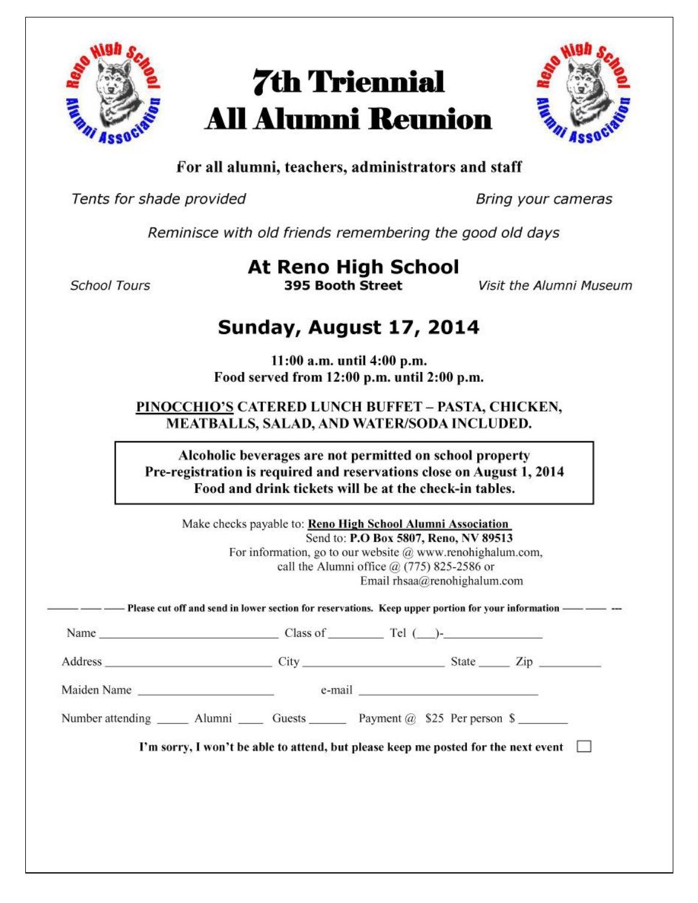

# **7th Triennial All Alumni Reunion**



### For all alumni, teachers, administrators and staff

Tents for shade provided

Bring your cameras

Reminisce with old friends remembering the good old days

**School Tours** 

**At Reno High School** 395 Booth Street

Visit the Alumni Museum

# Sunday, August 17, 2014

11:00 a.m. until 4:00 p.m. Food served from 12:00 p.m. until 2:00 p.m.

PINOCCHIO'S CATERED LUNCH BUFFET - PASTA, CHICKEN, MEATBALLS, SALAD, AND WATER/SODA INCLUDED.

Alcoholic beverages are not permitted on school property Pre-registration is required and reservations close on August 1, 2014 Food and drink tickets will be at the check-in tables.

Make checks payable to: Reno High School Alumni Association Send to: P.O Box 5807, Reno, NV 89513 For information, go to our website  $@$  www.renohighalum.com, call the Alumni office  $\omega$  (775) 825-2586 or Email rhsaa@renohighalum.com

Name Class of Tel ( )-

Address City State Zip

Maiden Name e-mail

 $\Gamma$ m sorry, I won't be able to attend, but please keep me posted for the next event  $\Box$